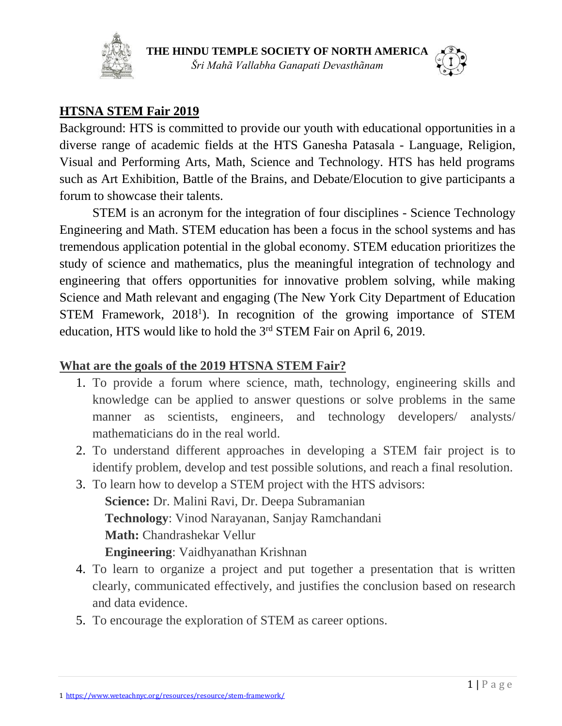



### **HTSNA STEM Fair 2019**

Background: HTS is committed to provide our youth with educational opportunities in a diverse range of academic fields at the HTS Ganesha Patasala - Language, Religion, Visual and Performing Arts, Math, Science and Technology. HTS has held programs such as Art Exhibition, Battle of the Brains, and Debate/Elocution to give participants a forum to showcase their talents.

STEM is an acronym for the integration of four disciplines - Science Technology Engineering and Math. STEM education has been a focus in the school systems and has tremendous application potential in the global economy. STEM education prioritizes the study of science and mathematics, plus the meaningful integration of technology and engineering that offers opportunities for innovative problem solving, while making Science and Math relevant and engaging (The New York City Department of Education STEM Framework, 2018<sup>1</sup>). In recognition of the growing importance of STEM education, HTS would like to hold the 3<sup>rd</sup> STEM Fair on April 6, 2019.

#### **What are the goals of the 2019 HTSNA STEM Fair?**

- 1. To provide a forum where science, math, technology, engineering skills and knowledge can be applied to answer questions or solve problems in the same manner as scientists, engineers, and technology developers/ analysts/ mathematicians do in the real world.
- 2. To understand different approaches in developing a STEM fair project is to identify problem, develop and test possible solutions, and reach a final resolution.
- 3. To learn how to develop a STEM project with the HTS advisors: **Science:** Dr. Malini Ravi, Dr. Deepa Subramanian **Technology**: Vinod Narayanan, Sanjay Ramchandani **Math:** Chandrashekar Vellur **Engineering**: Vaidhyanathan Krishnan
- 4. To learn to organize a project and put together a presentation that is written clearly, communicated effectively, and justifies the conclusion based on research and data evidence.
- 5. To encourage the exploration of STEM as career options.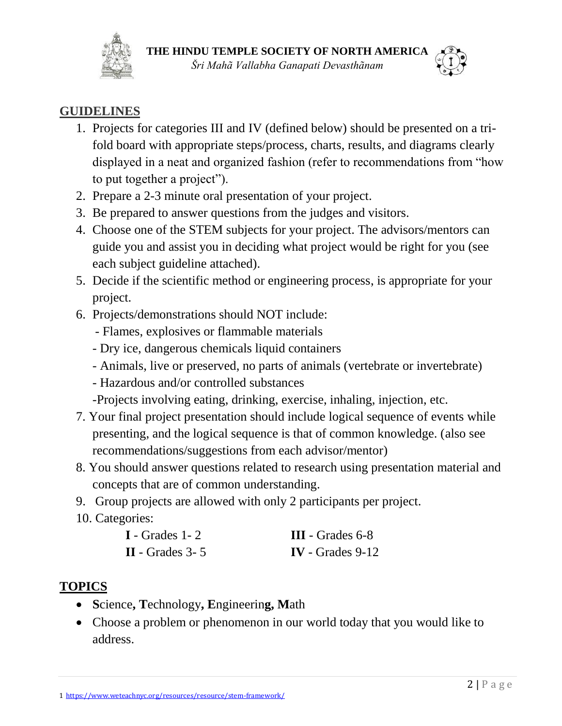



## **GUIDELINES**

- 1. Projects for categories III and IV (defined below) should be presented on a trifold board with appropriate steps/process, charts, results, and diagrams clearly displayed in a neat and organized fashion (refer to recommendations from "how to put together a project").
- 2. Prepare a 2-3 minute oral presentation of your project.
- 3. Be prepared to answer questions from the judges and visitors.
- 4. Choose one of the STEM subjects for your project. The advisors/mentors can guide you and assist you in deciding what project would be right for you (see each subject guideline attached).
- 5. Decide if the scientific method or engineering process, is appropriate for your project.
- 6. Projects/demonstrations should NOT include:
	- Flames, explosives or flammable materials
	- Dry ice, dangerous chemicals liquid containers
	- Animals, live or preserved, no parts of animals (vertebrate or invertebrate)
	- Hazardous and/or controlled substances
	- -Projects involving eating, drinking, exercise, inhaling, injection, etc.
- 7. Your final project presentation should include logical sequence of events while presenting, and the logical sequence is that of common knowledge. (also see recommendations/suggestions from each advisor/mentor)
- 8. You should answer questions related to research using presentation material and concepts that are of common understanding.
- 9. Group projects are allowed with only 2 participants per project.
- 10. Categories:

| $I$ - Grades 1 - 2 | $III - Grades 6-8$ |
|--------------------|--------------------|
| $II$ - Grades 3-5  | $IV - Grades 9-12$ |

# **TOPICS**

- **S**cience**, T**echnology**, E**ngineerin**g, M**ath
- Choose a problem or phenomenon in our world today that you would like to address.

1 <https://www.weteachnyc.org/resources/resource/stem-framework/>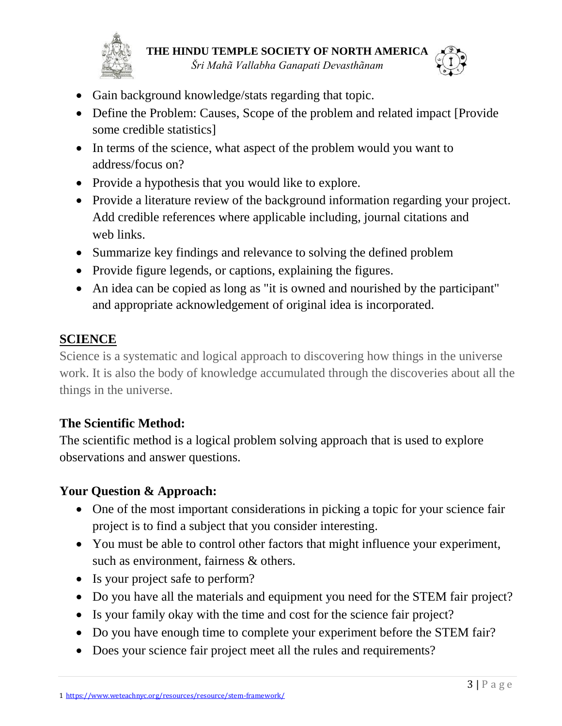



- Gain background knowledge/stats regarding that topic.
- Define the Problem: Causes, Scope of the problem and related impact [Provide] some credible statistics]
- In terms of the science, what aspect of the problem would you want to address/focus on?
- Provide a hypothesis that you would like to explore.
- Provide a literature review of the background information regarding your project. Add credible references where applicable including, journal citations and web links.
- Summarize key findings and relevance to solving the defined problem
- Provide figure legends, or captions, explaining the figures.
- An idea can be copied as long as "it is owned and nourished by the participant" and appropriate acknowledgement of original idea is incorporated.

## **SCIENCE**

Science is a systematic and logical approach to discovering how things in the universe work. It is also the body of knowledge accumulated through the discoveries about all the things in the universe.

## **The Scientific Method:**

The scientific method is a logical problem solving approach that is used to explore observations and answer questions.

## **Your Question & Approach:**

- One of the most important considerations in picking a topic for your science fair project is to find a subject that you consider interesting.
- You must be able to control other factors that might influence your experiment, such as environment, fairness & others.
- Is your project safe to perform?
- Do you have all the materials and equipment you need for the STEM fair project?
- Is your family okay with the time and cost for the science fair project?
- Do you have enough time to complete your experiment before the STEM fair?
- Does your science fair project meet all the rules and requirements?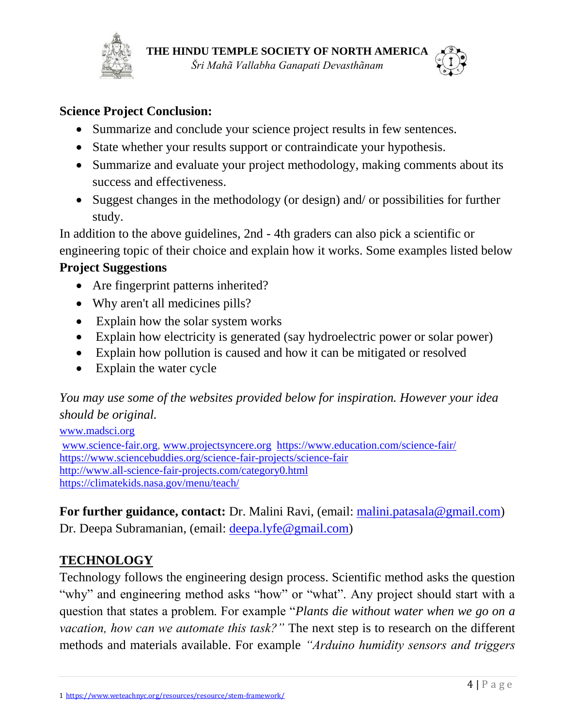



#### **Science Project Conclusion:**

- Summarize and conclude your science project results in few sentences.
- State whether your results support or contraindicate your hypothesis.
- Summarize and evaluate your project methodology, making comments about its success and effectiveness.
- Suggest changes in the methodology (or design) and/ or possibilities for further study.

In addition to the above guidelines, 2nd - 4th graders can also pick a scientific or engineering topic of their choice and explain how it works. Some examples listed below

### **Project Suggestions**

- Are fingerprint patterns inherited?
- Why aren't all medicines pills?
- Explain how the solar system works
- Explain how electricity is generated (say hydroelectric power or solar power)
- Explain how pollution is caused and how it can be mitigated or resolved
- Explain the water cycle

*You may use some of the websites provided below for inspiration. However your idea should be original.*

[www.madsci.org](http://www.madsci.org/) [www.science-fair.org,](http://www.science-fair.org/) [www.projectsyncere.org](http://www.projectsyncere.org/) <https://www.education.com/science-fair/> <https://www.sciencebuddies.org/science-fair-projects/science-fair> <http://www.all-science-fair-projects.com/category0.html> <https://climatekids.nasa.gov/menu/teach/>

**For further guidance, contact:** Dr. Malini Ravi, (email: [malini.patasala@gmail.com\)](mailto:malini.patasala@gmail.com) Dr. Deepa Subramanian, (email: [deepa.lyfe@gmail.com\)](mailto:deepa.lyfe@gmail.com)

### **TECHNOLOGY**

Technology follows the engineering design process. Scientific method asks the question "why" and engineering method asks "how" or "what". Any project should start with a question that states a problem. For example "*Plants die without water when we go on a vacation, how can we automate this task?"* The next step is to research on the different methods and materials available. For example *"Arduino humidity sensors and triggers*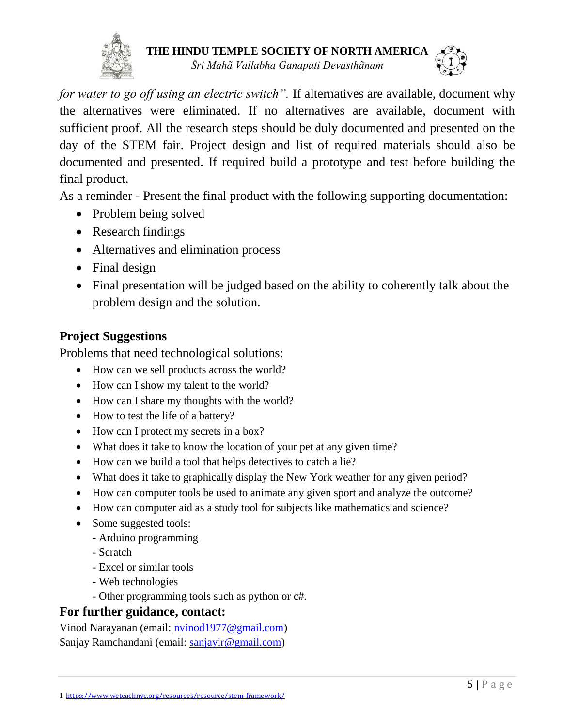



*for water to go off using an electric switch".* If alternatives are available, document why the alternatives were eliminated. If no alternatives are available, document with sufficient proof. All the research steps should be duly documented and presented on the day of the STEM fair. Project design and list of required materials should also be documented and presented. If required build a prototype and test before building the final product.

As a reminder - Present the final product with the following supporting documentation:

- Problem being solved
- Research findings
- Alternatives and elimination process
- Final design
- Final presentation will be judged based on the ability to coherently talk about the problem design and the solution.

## **Project Suggestions**

Problems that need technological solutions:

- How can we sell products across the world?
- How can I show my talent to the world?
- How can I share my thoughts with the world?
- How to test the life of a battery?
- How can I protect my secrets in a box?
- What does it take to know the location of your pet at any given time?
- How can we build a tool that helps detectives to catch a lie?
- What does it take to graphically display the New York weather for any given period?
- How can computer tools be used to animate any given sport and analyze the outcome?
- How can computer aid as a study tool for subjects like mathematics and science?
- Some suggested tools:
	- Arduino programming
	- Scratch
	- Excel or similar tools
	- Web technologies
	- Other programming tools such as python or c#.

### **For further guidance, contact:**

Vinod Narayanan (email: [nvinod1977@gmail.com\)](mailto:nvinod1977@gmail.com) Sanjay Ramchandani (email: [sanjayir@gmail.com\)](mailto:sanjayir@gmail.com)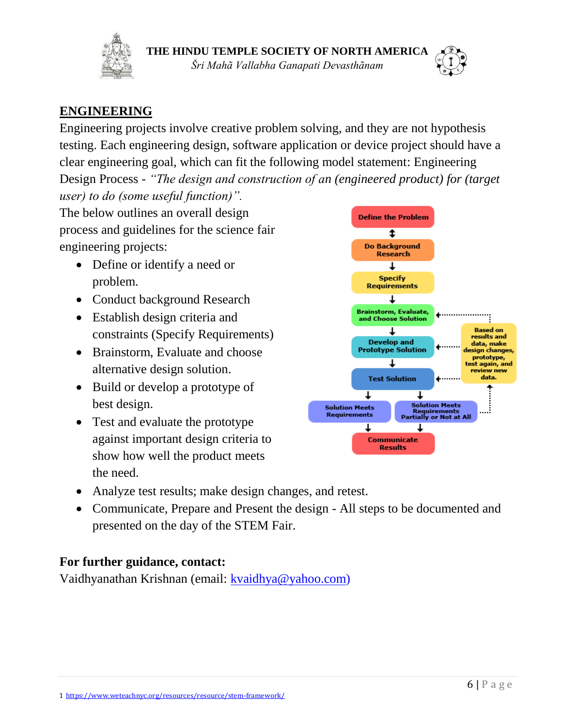



## **ENGINEERING**

Engineering projects involve creative problem solving, and they are not hypothesis testing. Each engineering design, software application or device project should have a clear engineering goal, which can fit the following model statement: Engineering Design Process - *"The design and construction of an (engineered product) for (target user) to do (some useful function)".*

The below outlines an overall design process and guidelines for the science fair engineering projects:

- Define or identify a need or problem.
- Conduct background Research
- Establish design criteria and constraints (Specify Requirements)
- Brainstorm, Evaluate and choose alternative design solution.
- Build or develop a prototype of best design.
- Test and evaluate the prototype against important design criteria to show how well the product meets the need.



- Analyze test results; make design changes, and retest.
- Communicate, Prepare and Present the design All steps to be documented and presented on the day of the STEM Fair.

### **For further guidance, contact:**

Vaidhyanathan Krishnan (email: [kvaidhya@yahoo.com\)](mailto:kvaidhya@yahoo.com)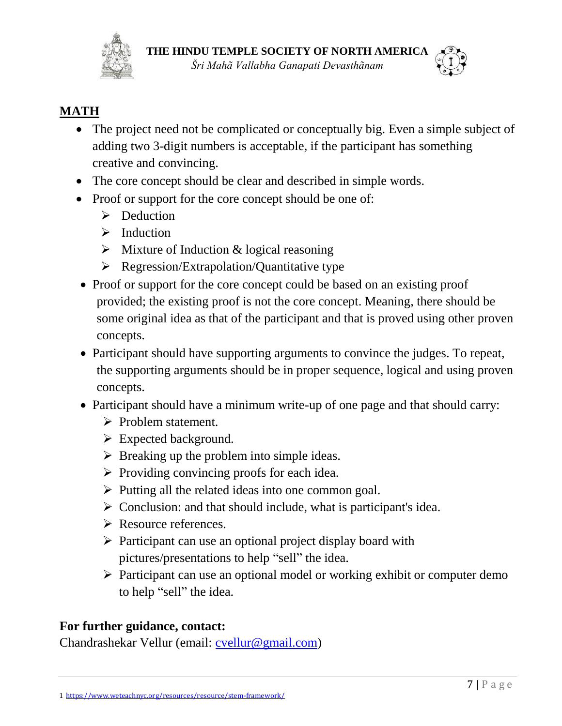



## **MATH**

- The project need not be complicated or conceptually big. Even a simple subject of adding two 3-digit numbers is acceptable, if the participant has something creative and convincing.
- The core concept should be clear and described in simple words.
- Proof or support for the core concept should be one of:
	- $\triangleright$  Deduction
	- $\triangleright$  Induction
	- $\triangleright$  Mixture of Induction & logical reasoning
	- $\triangleright$  Regression/Extrapolation/Quantitative type
- Proof or support for the core concept could be based on an existing proof provided; the existing proof is not the core concept. Meaning, there should be some original idea as that of the participant and that is proved using other proven concepts.
- Participant should have supporting arguments to convince the judges. To repeat, the supporting arguments should be in proper sequence, logical and using proven concepts.
- Participant should have a minimum write-up of one page and that should carry:
	- $\triangleright$  Problem statement.
	- $\triangleright$  Expected background.
	- $\triangleright$  Breaking up the problem into simple ideas.
	- $\triangleright$  Providing convincing proofs for each idea.
	- $\triangleright$  Putting all the related ideas into one common goal.
	- $\triangleright$  Conclusion: and that should include, what is participant's idea.
	- **► Resource references.**
	- $\triangleright$  Participant can use an optional project display board with pictures/presentations to help "sell" the idea.
	- $\triangleright$  Participant can use an optional model or working exhibit or computer demo to help "sell" the idea.

## **For further guidance, contact:**

Chandrashekar Vellur (email: [cvellur@gmail.com\)](mailto:cvellur@gmail.com)